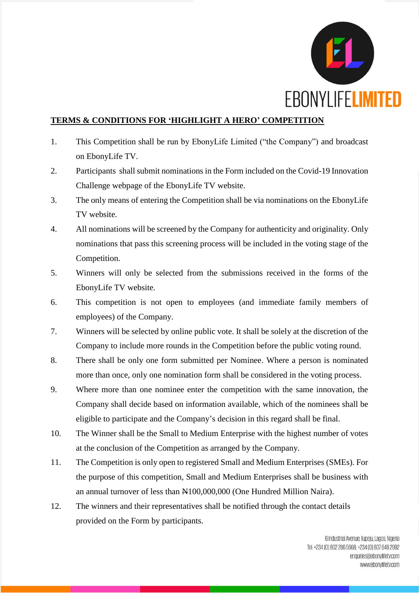

## **TERMS & CONDITIONS FOR 'HIGHLIGHT A HERO' COMPETITION**

- 1. This Competition shall be run by EbonyLife Limited ("the Company") and broadcast on EbonyLife TV.
- 2. Participants shall submit nominations in the Form included on the Covid-19 Innovation Challenge webpage of the EbonyLife TV website.
- 3. The only means of entering the Competition shall be via nominations on the EbonyLife TV website.
- 4. All nominations will be screened by the Company for authenticity and originality. Only nominations that pass this screening process will be included in the voting stage of the Competition.
- 5. Winners will only be selected from the submissions received in the forms of the EbonyLife TV website.
- 6. This competition is not open to employees (and immediate family members of employees) of the Company.
- 7. Winners will be selected by online public vote. It shall be solely at the discretion of the Company to include more rounds in the Competition before the public voting round.
- 8. There shall be only one form submitted per Nominee. Where a person is nominated more than once, only one nomination form shall be considered in the voting process.
- 9. Where more than one nominee enter the competition with the same innovation, the Company shall decide based on information available, which of the nominees shall be eligible to participate and the Company's decision in this regard shall be final.
- 10. The Winner shall be the Small to Medium Enterprise with the highest number of votes at the conclusion of the Competition as arranged by the Company.
- 11. The Competition is only open to registered Small and Medium Enterprises (SMEs). For the purpose of this competition, Small and Medium Enterprises shall be business with an annual turnover of less than N100,000,000 (One Hundred Million Naira).
- 12. The winners and their representatives shall be notified through the contact details provided on the Form by participants.